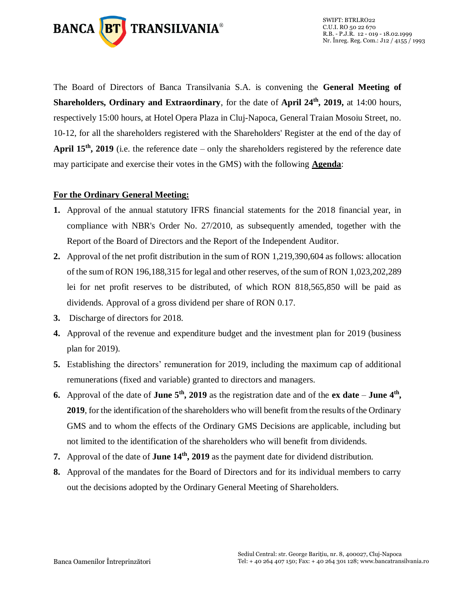

The Board of Directors of Banca Transilvania S.A. is convening the **General Meeting of Shareholders, Ordinary and Extraordinary**, for the date of **April 24<sup>th</sup>, 2019**, at 14:00 hours, respectively 15:00 hours, at Hotel Opera Plaza in Cluj-Napoca, General Traian Mosoiu Street, no. 10-12, for all the shareholders registered with the Shareholders' Register at the end of the day of **April 15<sup>th</sup>**, 2019 (i.e. the reference date – only the shareholders registered by the reference date may participate and exercise their votes in the GMS) with the following **Agenda**:

## **For the Ordinary General Meeting:**

- **1.** Approval of the annual statutory IFRS financial statements for the 2018 financial year, in compliance with NBR's Order No. 27/2010, as subsequently amended, together with the Report of the Board of Directors and the Report of the Independent Auditor.
- **2.** Approval of the net profit distribution in the sum of RON 1,219,390,604 as follows: allocation of the sum of RON 196,188,315 for legal and other reserves, of the sum of RON 1,023,202,289 lei for net profit reserves to be distributed, of which RON 818,565,850 will be paid as dividends. Approval of a gross dividend per share of RON 0.17.
- **3.** Discharge of directors for 2018.
- **4.** Approval of the revenue and expenditure budget and the investment plan for 2019 (business plan for 2019).
- **5.** Establishing the directors' remuneration for 2019, including the maximum cap of additional remunerations (fixed and variable) granted to directors and managers.
- **6.** Approval of the date of **June 5<sup>th</sup>**, 2019 as the registration date and of the **ex date June 4<sup>th</sup>**, **2019**, for the identification of the shareholders who will benefit from the results of the Ordinary GMS and to whom the effects of the Ordinary GMS Decisions are applicable, including but not limited to the identification of the shareholders who will benefit from dividends.
- **7.** Approval of the date of **June 14<sup>th</sup>**, **2019** as the payment date for dividend distribution.
- **8.** Approval of the mandates for the Board of Directors and for its individual members to carry out the decisions adopted by the Ordinary General Meeting of Shareholders.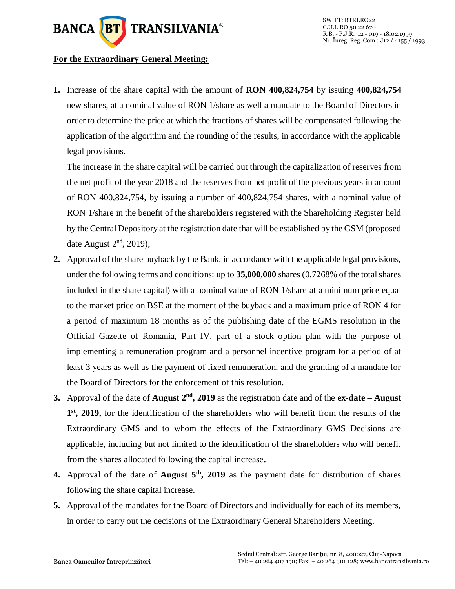

## **For the Extraordinary General Meeting:**

**1.** Increase of the share capital with the amount of **RON 400,824,754** by issuing **400,824,754** new shares, at a nominal value of RON 1/share as well a mandate to the Board of Directors in order to determine the price at which the fractions of shares will be compensated following the application of the algorithm and the rounding of the results, in accordance with the applicable legal provisions.

The increase in the share capital will be carried out through the capitalization of reserves from the net profit of the year 2018 and the reserves from net profit of the previous years in amount of RON 400,824,754, by issuing a number of 400,824,754 shares, with a nominal value of RON 1/share in the benefit of the shareholders registered with the Shareholding Register held by the Central Depository at the registration date that will be established by the GSM (proposed date August  $2<sup>nd</sup>$ , 2019);

- **2.** Approval of the share buyback by the Bank, in accordance with the applicable legal provisions, under the following terms and conditions: up to **35,000,000** shares (0,7268% of the total shares included in the share capital) with a nominal value of RON 1/share at a minimum price equal to the market price on BSE at the moment of the buyback and a maximum price of RON 4 for a period of maximum 18 months as of the publishing date of the EGMS resolution in the Official Gazette of Romania, Part IV, part of a stock option plan with the purpose of implementing a remuneration program and a personnel incentive program for a period of at least 3 years as well as the payment of fixed remuneration, and the granting of a mandate for the Board of Directors for the enforcement of this resolution.
- **3.** Approval of the date of **August**  $2<sup>nd</sup>$ , 2019 as the registration date and of the  $ex\text{-}date\text{-}August$ **1 st, 2019,** for the identification of the shareholders who will benefit from the results of the Extraordinary GMS and to whom the effects of the Extraordinary GMS Decisions are applicable, including but not limited to the identification of the shareholders who will benefit from the shares allocated following the capital increase**.**
- **4.** Approval of the date of **August 5<sup>th</sup>**, 2019 as the payment date for distribution of shares following the share capital increase.
- **5.** Approval of the mandates for the Board of Directors and individually for each of its members, in order to carry out the decisions of the Extraordinary General Shareholders Meeting.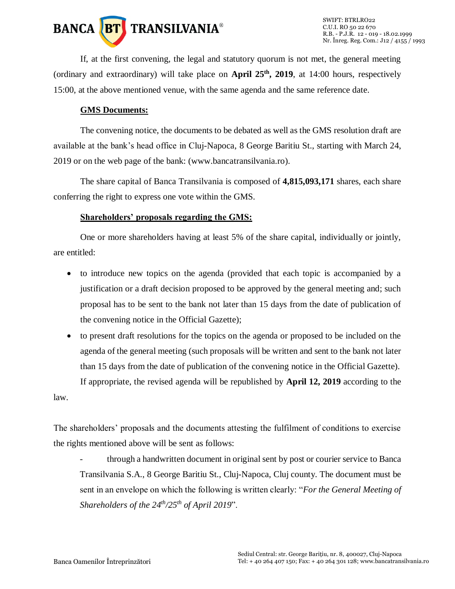

If, at the first convening, the legal and statutory quorum is not met, the general meeting (ordinary and extraordinary) will take place on **April 25 th, 2019**, at 14:00 hours, respectively 15:00, at the above mentioned venue, with the same agenda and the same reference date.

#### **GMS Documents:**

The convening notice, the documents to be debated as well as the GMS resolution draft are available at the bank's head office in Cluj-Napoca, 8 George Baritiu St., starting with March 24, 2019 or on the web page of the bank: (www.bancatransilvania.ro).

The share capital of Banca Transilvania is composed of **4,815,093,171** shares, each share conferring the right to express one vote within the GMS.

# **Shareholders' proposals regarding the GMS:**

One or more shareholders having at least 5% of the share capital, individually or jointly, are entitled:

- to introduce new topics on the agenda (provided that each topic is accompanied by a justification or a draft decision proposed to be approved by the general meeting and; such proposal has to be sent to the bank not later than 15 days from the date of publication of the convening notice in the Official Gazette);
- to present draft resolutions for the topics on the agenda or proposed to be included on the agenda of the general meeting (such proposals will be written and sent to the bank not later than 15 days from the date of publication of the convening notice in the Official Gazette). If appropriate, the revised agenda will be republished by **April 12, 2019** according to the law.

The shareholders' proposals and the documents attesting the fulfilment of conditions to exercise the rights mentioned above will be sent as follows:

- through a handwritten document in original sent by post or courier service to Banca Transilvania S.A., 8 George Baritiu St., Cluj-Napoca, Cluj county. The document must be sent in an envelope on which the following is written clearly: "*For the General Meeting of Shareholders of the 24 th/25 th of April 2019*".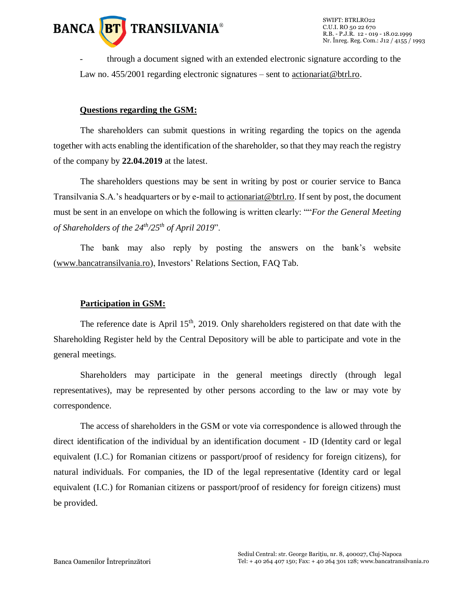

SWIFT: BTRLRO22 C.U.I. RO 50 22 670 R.B. - P.J.R. 12 - 019 - 18.02.1999 Nr. Înreg. Reg. Com.: J12 / 4155 / 1993

- through a document signed with an extended electronic signature according to the Law no. 455/2001 regarding electronic signatures – sent to actionariat @btrl.ro.

#### **Questions regarding the GSM:**

The shareholders can submit questions in writing regarding the topics on the agenda together with acts enabling the identification of the shareholder, so that they may reach the registry of the company by **22.04.2019** at the latest.

The shareholders questions may be sent in writing by post or courier service to Banca Transilvania S.A.'s headquarters or by e-mail t[o actionariat@btrl.ro.](mailto:actionariat@btrl.ro) If sent by post, the document must be sent in an envelope on which the following is written clearly: ""*For the General Meeting of Shareholders of the 24 th/25 th of April 2019*".

The bank may also reply by posting the answers on the bank's website [\(www.bancatransilvania.ro\)](http://www.bancatransilvania.ro/), Investors' Relations Section, FAQ Tab.

#### **Participation in GSM:**

The reference date is April  $15<sup>th</sup>$ , 2019. Only shareholders registered on that date with the Shareholding Register held by the Central Depository will be able to participate and vote in the general meetings.

Shareholders may participate in the general meetings directly (through legal representatives), may be represented by other persons according to the law or may vote by correspondence.

The access of shareholders in the GSM or vote via correspondence is allowed through the direct identification of the individual by an identification document - ID (Identity card or legal equivalent (I.C.) for Romanian citizens or passport/proof of residency for foreign citizens), for natural individuals. For companies, the ID of the legal representative (Identity card or legal equivalent (I.C.) for Romanian citizens or passport/proof of residency for foreign citizens) must be provided.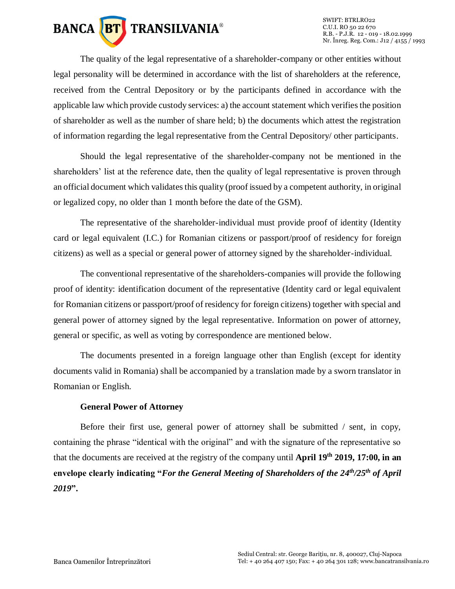

The quality of the legal representative of a shareholder-company or other entities without legal personality will be determined in accordance with the list of shareholders at the reference, received from the Central Depository or by the participants defined in accordance with the applicable law which provide custody services: a) the account statement which verifies the position of shareholder as well as the number of share held; b) the documents which attest the registration of information regarding the legal representative from the Central Depository/ other participants.

Should the legal representative of the shareholder-company not be mentioned in the shareholders' list at the reference date, then the quality of legal representative is proven through an official document which validates this quality (proof issued by a competent authority, in original or legalized copy, no older than 1 month before the date of the GSM).

The representative of the shareholder-individual must provide proof of identity (Identity card or legal equivalent (I.C.) for Romanian citizens or passport/proof of residency for foreign citizens) as well as a special or general power of attorney signed by the shareholder-individual.

The conventional representative of the shareholders-companies will provide the following proof of identity: identification document of the representative (Identity card or legal equivalent for Romanian citizens or passport/proof of residency for foreign citizens) together with special and general power of attorney signed by the legal representative. Information on power of attorney, general or specific, as well as voting by correspondence are mentioned below.

The documents presented in a foreign language other than English (except for identity documents valid in Romania) shall be accompanied by a translation made by a sworn translator in Romanian or English.

#### **General Power of Attorney**

Before their first use, general power of attorney shall be submitted / sent, in copy, containing the phrase "identical with the original" and with the signature of the representative so that the documents are received at the registry of the company until **April 19th 2019, 17:00, in an**  envelope clearly indicating "*For the General Meeting of Shareholders of the 24<sup>th</sup>/25<sup>th</sup> of April 2019***".**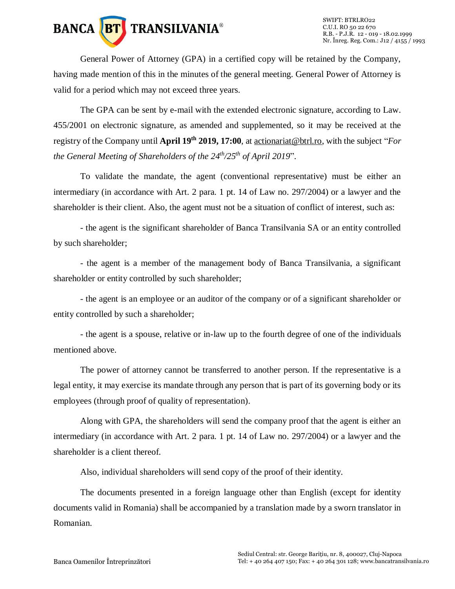

General Power of Attorney (GPA) in a certified copy will be retained by the Company, having made mention of this in the minutes of the general meeting. General Power of Attorney is valid for a period which may not exceed three years.

The GPA can be sent by e-mail with the extended electronic signature, according to Law. 455/2001 on electronic signature, as amended and supplemented, so it may be received at the registry of the Company until **April 19th 2019, 17:00**, a[t actionariat@btrl.ro,](mailto:actionariat@btrl.ro) with the subject "*For the General Meeting of Shareholders of the 24 th/25 th of April 2019*".

To validate the mandate, the agent (conventional representative) must be either an intermediary (in accordance with Art. 2 para. 1 pt. 14 of Law no. 297/2004) or a lawyer and the shareholder is their client. Also, the agent must not be a situation of conflict of interest, such as:

- the agent is the significant shareholder of Banca Transilvania SA or an entity controlled by such shareholder;

- the agent is a member of the management body of Banca Transilvania, a significant shareholder or entity controlled by such shareholder;

- the agent is an employee or an auditor of the company or of a significant shareholder or entity controlled by such a shareholder;

- the agent is a spouse, relative or in-law up to the fourth degree of one of the individuals mentioned above.

The power of attorney cannot be transferred to another person. If the representative is a legal entity, it may exercise its mandate through any person that is part of its governing body or its employees (through proof of quality of representation).

Along with GPA, the shareholders will send the company proof that the agent is either an intermediary (in accordance with Art. 2 para. 1 pt. 14 of Law no. 297/2004) or a lawyer and the shareholder is a client thereof.

Also, individual shareholders will send copy of the proof of their identity.

The documents presented in a foreign language other than English (except for identity documents valid in Romania) shall be accompanied by a translation made by a sworn translator in Romanian.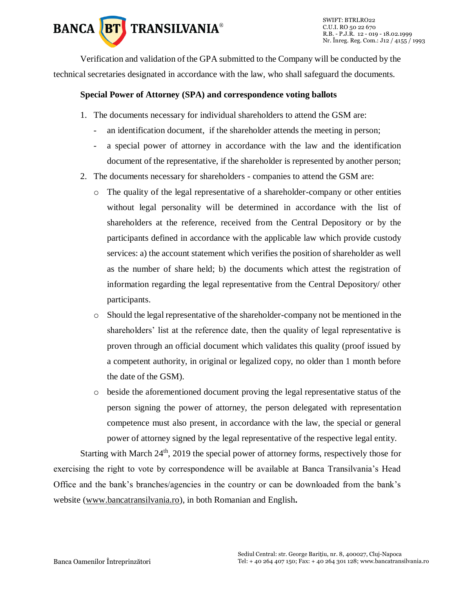

SWIFT: BTRLRO22 C.U.I. RO 50 22 670 R.B. - P.J.R. 12 - 019 - 18.02.1999 Nr. Înreg. Reg. Com.: J12 / 4155 / 1993

Verification and validation of the GPA submitted to the Company will be conducted by the technical secretaries designated in accordance with the law, who shall safeguard the documents.

#### **Special Power of Attorney (SPA) and correspondence voting ballots**

- 1. The documents necessary for individual shareholders to attend the GSM are:
	- an identification document, if the shareholder attends the meeting in person;
	- a special power of attorney in accordance with the law and the identification document of the representative, if the shareholder is represented by another person;
- 2. The documents necessary for shareholders companies to attend the GSM are:
	- o The quality of the legal representative of a shareholder-company or other entities without legal personality will be determined in accordance with the list of shareholders at the reference, received from the Central Depository or by the participants defined in accordance with the applicable law which provide custody services: a) the account statement which verifies the position of shareholder as well as the number of share held; b) the documents which attest the registration of information regarding the legal representative from the Central Depository/ other participants.
	- o Should the legal representative of the shareholder-company not be mentioned in the shareholders' list at the reference date, then the quality of legal representative is proven through an official document which validates this quality (proof issued by a competent authority, in original or legalized copy, no older than 1 month before the date of the GSM).
	- o beside the aforementioned document proving the legal representative status of the person signing the power of attorney, the person delegated with representation competence must also present, in accordance with the law, the special or general power of attorney signed by the legal representative of the respective legal entity.

Starting with March 24<sup>th</sup>, 2019 the special power of attorney forms, respectively those for exercising the right to vote by correspondence will be available at Banca Transilvania's Head Office and the bank's branches/agencies in the country or can be downloaded from the bank's website [\(www.bancatransilvania.ro\)](http://www.bancatransilvania.ro/), in both Romanian and English**.**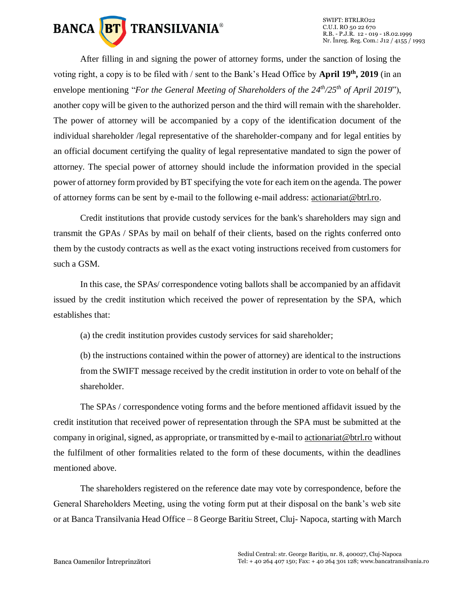

After filling in and signing the power of attorney forms, under the sanction of losing the voting right, a copy is to be filed with / sent to the Bank's Head Office by **April 19th, 2019** (in an envelope mentioning "*For the General Meeting of Shareholders of the 24<sup>th</sup>/25<sup>th</sup> of April 2019"),* another copy will be given to the authorized person and the third will remain with the shareholder. The power of attorney will be accompanied by a copy of the identification document of the individual shareholder /legal representative of the shareholder-company and for legal entities by an official document certifying the quality of legal representative mandated to sign the power of attorney. The special power of attorney should include the information provided in the special power of attorney form provided by BT specifying the vote for each item on the agenda. The power of attorney forms can be sent by e-mail to the following e-mail address: [actionariat@btrl.ro.](mailto:actionariat@btrl.ro)

Credit institutions that provide custody services for the bank's shareholders may sign and transmit the GPAs / SPAs by mail on behalf of their clients, based on the rights conferred onto them by the custody contracts as well as the exact voting instructions received from customers for such a GSM.

In this case, the SPAs/ correspondence voting ballots shall be accompanied by an affidavit issued by the credit institution which received the power of representation by the SPA, which establishes that:

(a) the credit institution provides custody services for said shareholder;

(b) the instructions contained within the power of attorney) are identical to the instructions from the SWIFT message received by the credit institution in order to vote on behalf of the shareholder.

The SPAs / correspondence voting forms and the before mentioned affidavit issued by the credit institution that received power of representation through the SPA must be submitted at the company in original, signed, as appropriate, or transmitted by e-mail t[o actionariat@btrl.ro](mailto:actionariat@btrl.ro) without the fulfilment of other formalities related to the form of these documents, within the deadlines mentioned above.

The shareholders registered on the reference date may vote by correspondence, before the General Shareholders Meeting, using the voting form put at their disposal on the bank's web site or at Banca Transilvania Head Office – 8 George Baritiu Street, Cluj- Napoca, starting with March